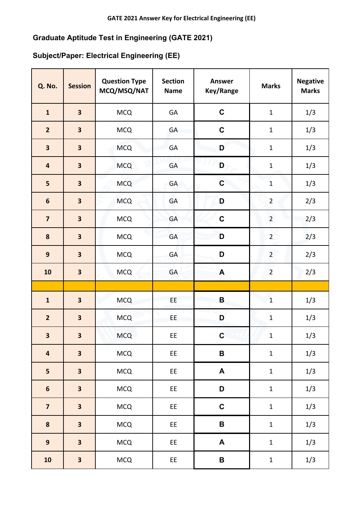## **Graduate Aptitude Test in Engineering (GATE 2021)**

## **Subject/Paper: Electrical Engineering (EE)**

| <b>Q. No.</b>           | <b>Session</b>          | <b>Question Type</b><br>MCQ/MSQ/NAT | <b>Section</b><br><b>Name</b> | Answer<br>Key/Range | <b>Marks</b>   | <b>Negative</b><br><b>Marks</b> |
|-------------------------|-------------------------|-------------------------------------|-------------------------------|---------------------|----------------|---------------------------------|
| $\mathbf{1}$            | $\overline{\mathbf{3}}$ | <b>MCQ</b>                          | GA                            | $\mathbf C$         | $\mathbf 1$    | 1/3                             |
| $\overline{2}$          | $\overline{\mathbf{3}}$ | <b>MCQ</b>                          | GA                            | $\mathbf C$         | $\mathbf 1$    | 1/3                             |
| $\overline{\mathbf{3}}$ | $\overline{\mathbf{3}}$ | <b>MCQ</b>                          | GA                            | D                   | $\mathbf{1}$   | 1/3                             |
| $\overline{\mathbf{4}}$ | $\overline{\mathbf{3}}$ | <b>MCQ</b>                          | <b>GA</b>                     | D                   | $\mathbf 1$    | 1/3                             |
| 5                       | $\overline{\mathbf{3}}$ | <b>MCQ</b>                          | GA                            | $\mathbf C$         | $\mathbf 1$    | 1/3                             |
| $\boldsymbol{6}$        | $\overline{\mathbf{3}}$ | <b>MCQ</b>                          | GA                            | D                   | $\overline{2}$ | 2/3                             |
| $\overline{\mathbf{z}}$ | $\overline{\mathbf{3}}$ | <b>MCQ</b>                          | GA                            | $\mathbf C$         | $\overline{2}$ | 2/3                             |
| 8                       | $\overline{\mathbf{3}}$ | <b>MCQ</b>                          | GA                            | D                   | $\overline{2}$ | 2/3                             |
| $\boldsymbol{9}$        | $\overline{\mathbf{3}}$ | <b>MCQ</b>                          | GA                            | D                   | $\overline{2}$ | 2/3                             |
| 10                      | $\overline{\mathbf{3}}$ | <b>MCQ</b>                          | GA                            | A                   | $\overline{2}$ | 2/3                             |
|                         |                         |                                     |                               |                     |                |                                 |
| $\mathbf{1}$            | $\overline{\mathbf{3}}$ | <b>MCQ</b>                          | EE                            | B                   | $\mathbf 1$    | 1/3                             |
| $\overline{2}$          | $\overline{\mathbf{3}}$ | <b>MCQ</b>                          | ΕE                            | D                   | $\mathbf 1$    | 1/3                             |
| 3                       | 3                       | <b>MCQ</b>                          | EE                            | $\mathbf C$         | $\mathbf 1$    | 1/3                             |
| $\overline{\mathbf{4}}$ | $\overline{\mathbf{3}}$ | MCQ                                 | EE                            | $\, {\bf B}$        | $\mathbf 1$    | 1/3                             |
| 5                       | 3                       | <b>MCQ</b>                          | EE                            | A                   | $\mathbf 1$    | 1/3                             |
| $\boldsymbol{6}$        | $\overline{\mathbf{3}}$ | <b>MCQ</b>                          | EE                            | D                   | $\mathbf 1$    | 1/3                             |
| $\overline{\mathbf{z}}$ | $\overline{\mathbf{3}}$ | <b>MCQ</b>                          | EE                            | $\mathbf C$         | $\mathbf 1$    | 1/3                             |
| ${\bf 8}$               | $\overline{\mathbf{3}}$ | <b>MCQ</b>                          | EE                            | $\pmb{\mathsf{B}}$  | $\mathbf 1$    | 1/3                             |
| $\boldsymbol{9}$        | 3                       | MCQ                                 | EE                            | $\blacktriangle$    | $\mathbf 1$    | 1/3                             |
| 10                      | $\overline{\mathbf{3}}$ | MCQ                                 | EE                            | $\pmb{\mathsf{B}}$  | $\mathbf 1$    | $1/3$                           |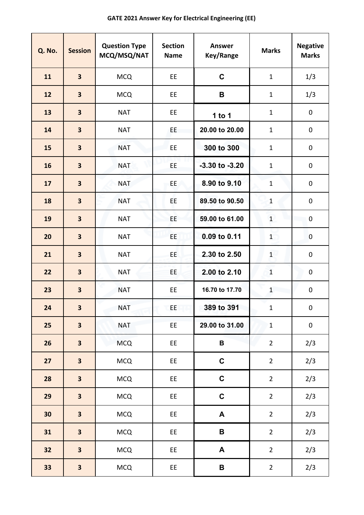| <b>Q. No.</b> | <b>Session</b>          | <b>Question Type</b><br>MCQ/MSQ/NAT | <b>Section</b><br><b>Name</b> | <b>Answer</b><br>Key/Range | <b>Marks</b>   | <b>Negative</b><br><b>Marks</b> |
|---------------|-------------------------|-------------------------------------|-------------------------------|----------------------------|----------------|---------------------------------|
| 11            | $\overline{\mathbf{3}}$ | <b>MCQ</b>                          | <b>EE</b>                     | $\mathbf C$                | $\mathbf{1}$   | 1/3                             |
| 12            | $\overline{\mathbf{3}}$ | <b>MCQ</b>                          | EE.                           | B                          | $\mathbf{1}$   | 1/3                             |
| 13            | $\overline{\mathbf{3}}$ | <b>NAT</b>                          | EE                            | 1 to $1$                   | $\mathbf 1$    | 0                               |
| 14            | $\overline{\mathbf{3}}$ | <b>NAT</b>                          | EE.                           | 20.00 to 20.00             | $\mathbf{1}$   | $\mathbf 0$                     |
| 15            | $\overline{\mathbf{3}}$ | <b>NAT</b>                          | <b>EE</b>                     | 300 to 300                 | $\mathbf 1$    | $\pmb{0}$                       |
| 16            | $\overline{\mathbf{3}}$ | <b>NAT</b>                          | <b>EE</b>                     | $-3.30$ to $-3.20$         | $\mathbf 1$    | $\pmb{0}$                       |
| 17            | $\overline{\mathbf{3}}$ | <b>NAT</b>                          | EE.                           | 8.90 to 9.10               | $\mathbf 1$    | $\pmb{0}$                       |
| 18            | $\overline{\mathbf{3}}$ | <b>NAT</b>                          | EE                            | 89.50 to 90.50             | $\mathbf{1}$   | $\pmb{0}$                       |
| 19            | $\overline{\mathbf{3}}$ | <b>NAT</b>                          | EE                            | 59.00 to 61.00             | $1\,$          | $\pmb{0}$                       |
| 20            | $\overline{\mathbf{3}}$ | <b>NAT</b>                          | ΕE.                           | 0.09 to 0.11               | 1              | $\pmb{0}$                       |
| 21            | $\overline{\mathbf{3}}$ | <b>NAT</b>                          | EE.                           | 2.30 to 2.50               | $\overline{1}$ | $\pmb{0}$                       |
| 22            | $\overline{\mathbf{3}}$ | <b>NAT</b>                          | EE.                           | 2.00 to 2.10               | $\mathbf{1}$   | $\mathsf{O}\xspace$             |
| 23            | $\overline{\mathbf{3}}$ | <b>NAT</b>                          | EE                            | 16.70 to 17.70             | $\mathbf{1}$   | $\pmb{0}$                       |
| 24            | 3                       | <b>NAT</b>                          | EE                            | 389 to 391                 | $\mathbf{1}$   | $\mathsf{O}$                    |
| 25            | $\overline{\mathbf{3}}$ | <b>NAT</b>                          | EE                            | 29.00 to 31.00             | $\mathbf 1$    | $\pmb{0}$                       |
| 26            | $\overline{\mathbf{3}}$ | <b>MCQ</b>                          | EE                            | B                          | $\overline{2}$ | 2/3                             |
| 27            | $\overline{\mathbf{3}}$ | <b>MCQ</b>                          | EE                            | $\mathbf C$                | $\overline{2}$ | 2/3                             |
| 28            | $\overline{\mathbf{3}}$ | <b>MCQ</b>                          | EE                            | $\mathbf C$                | $\overline{2}$ | 2/3                             |
| 29            | $\overline{\mathbf{3}}$ | <b>MCQ</b>                          | EE                            | $\mathbf C$                | $\overline{2}$ | 2/3                             |
| 30            | $\overline{\mathbf{3}}$ | <b>MCQ</b>                          | EE                            | $\blacktriangle$           | $\overline{2}$ | 2/3                             |
| 31            | $\overline{\mathbf{3}}$ | <b>MCQ</b>                          | EE                            | $\, {\bf B} \,$            | $\overline{2}$ | 2/3                             |
| 32            | $\overline{\mathbf{3}}$ | <b>MCQ</b>                          | EE                            | A                          | $\overline{2}$ | 2/3                             |
| 33            | $\overline{\mathbf{3}}$ | <b>MCQ</b>                          | EE                            | $\mathsf B$                | $\overline{2}$ | 2/3                             |